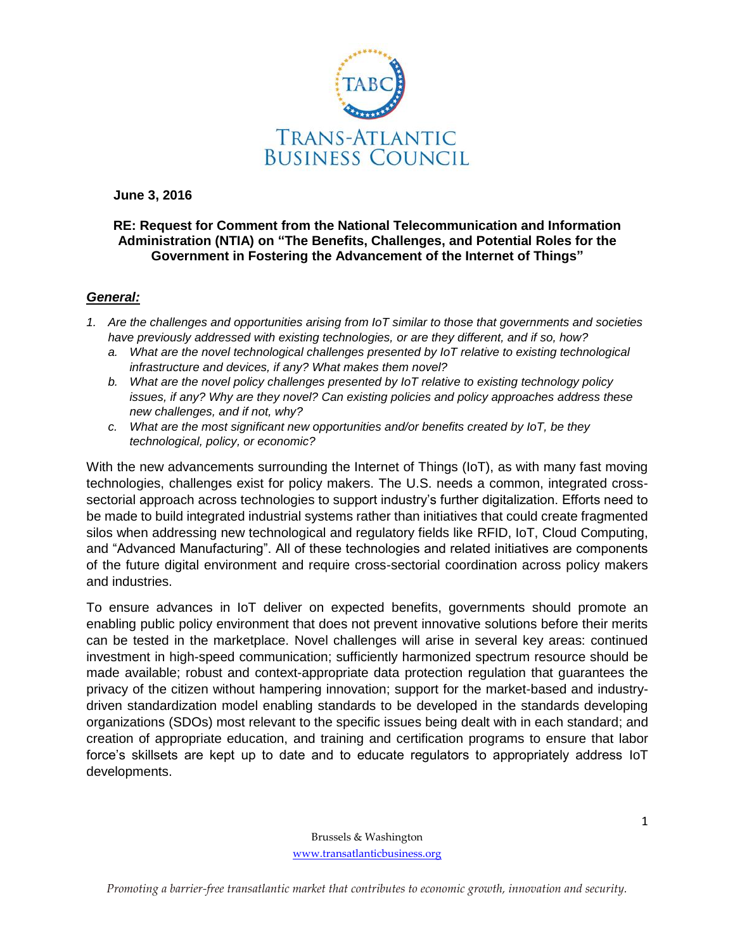

**June 3, 2016**

## **RE: Request for Comment from the National Telecommunication and Information Administration (NTIA) on "The Benefits, Challenges, and Potential Roles for the Government in Fostering the Advancement of the Internet of Things"**

## *General:*

- *1. Are the challenges and opportunities arising from IoT similar to those that governments and societies have previously addressed with existing technologies, or are they different, and if so, how?*
	- *a. What are the novel technological challenges presented by IoT relative to existing technological infrastructure and devices, if any? What makes them novel?*
	- *b. What are the novel policy challenges presented by IoT relative to existing technology policy issues, if any? Why are they novel? Can existing policies and policy approaches address these new challenges, and if not, why?*
	- *c. What are the most significant new opportunities and/or benefits created by IoT, be they technological, policy, or economic?*

With the new advancements surrounding the Internet of Things (IoT), as with many fast moving technologies, challenges exist for policy makers. The U.S. needs a common, integrated crosssectorial approach across technologies to support industry's further digitalization. Efforts need to be made to build integrated industrial systems rather than initiatives that could create fragmented silos when addressing new technological and regulatory fields like RFID, IoT, Cloud Computing, and "Advanced Manufacturing". All of these technologies and related initiatives are components of the future digital environment and require cross-sectorial coordination across policy makers and industries.

To ensure advances in IoT deliver on expected benefits, governments should promote an enabling public policy environment that does not prevent innovative solutions before their merits can be tested in the marketplace. Novel challenges will arise in several key areas: continued investment in high-speed communication; sufficiently harmonized spectrum resource should be made available; robust and context-appropriate data protection regulation that guarantees the privacy of the citizen without hampering innovation; support for the market-based and industrydriven standardization model enabling standards to be developed in the standards developing organizations (SDOs) most relevant to the specific issues being dealt with in each standard; and creation of appropriate education, and training and certification programs to ensure that labor force's skillsets are kept up to date and to educate regulators to appropriately address IoT developments.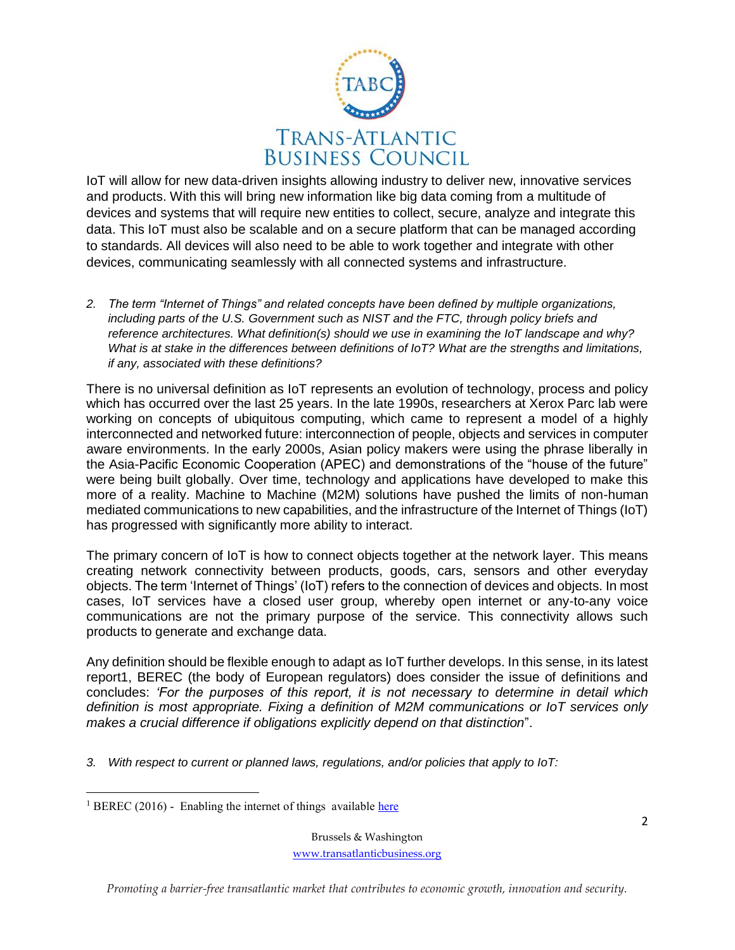

IoT will allow for new data-driven insights allowing industry to deliver new, innovative services and products. With this will bring new information like big data coming from a multitude of devices and systems that will require new entities to collect, secure, analyze and integrate this data. This IoT must also be scalable and on a secure platform that can be managed according to standards. All devices will also need to be able to work together and integrate with other devices, communicating seamlessly with all connected systems and infrastructure.

*2. The term "Internet of Things" and related concepts have been defined by multiple organizations, including parts of the U.S. Government such as NIST and the FTC, through policy briefs and reference architectures. What definition(s) should we use in examining the IoT landscape and why? What is at stake in the differences between definitions of IoT? What are the strengths and limitations, if any, associated with these definitions?*

There is no universal definition as IoT represents an evolution of technology, process and policy which has occurred over the last 25 years. In the late 1990s, researchers at Xerox Parc lab were working on concepts of ubiquitous computing, which came to represent a model of a highly interconnected and networked future: interconnection of people, objects and services in computer aware environments. In the early 2000s, Asian policy makers were using the phrase liberally in the Asia-Pacific Economic Cooperation (APEC) and demonstrations of the "house of the future" were being built globally. Over time, technology and applications have developed to make this more of a reality. Machine to Machine (M2M) solutions have pushed the limits of non-human mediated communications to new capabilities, and the infrastructure of the Internet of Things (IoT) has progressed with significantly more ability to interact.

The primary concern of IoT is how to connect objects together at the network layer. This means creating network connectivity between products, goods, cars, sensors and other everyday objects. The term 'Internet of Things' (IoT) refers to the connection of devices and objects. In most cases, IoT services have a closed user group, whereby open internet or any-to-any voice communications are not the primary purpose of the service. This connectivity allows such products to generate and exchange data.

Any definition should be flexible enough to adapt as IoT further develops. In this sense, in its latest report1, BEREC (the body of European regulators) does consider the issue of definitions and concludes: *'For the purposes of this report, it is not necessary to determine in detail which definition is most appropriate. Fixing a definition of M2M communications or IoT services only makes a crucial difference if obligations explicitly depend on that distinction*".

*3. With respect to current or planned laws, regulations, and/or policies that apply to IoT:*

Brussels & Washington [www.transatlanticbusiness.org](http://www.transatlanticbusiness.org/)

*Promoting a barrier-free transatlantic market that contributes to economic growth, innovation and security.*

 $\overline{\phantom{a}}$ <sup>1</sup> BEREC (2016) - Enabling the internet of things available [here](http://berec.europa.eu/eng/document_register/subject_matter/berec/reports/5755-berec-report-on-enabling-the-internet-of-things)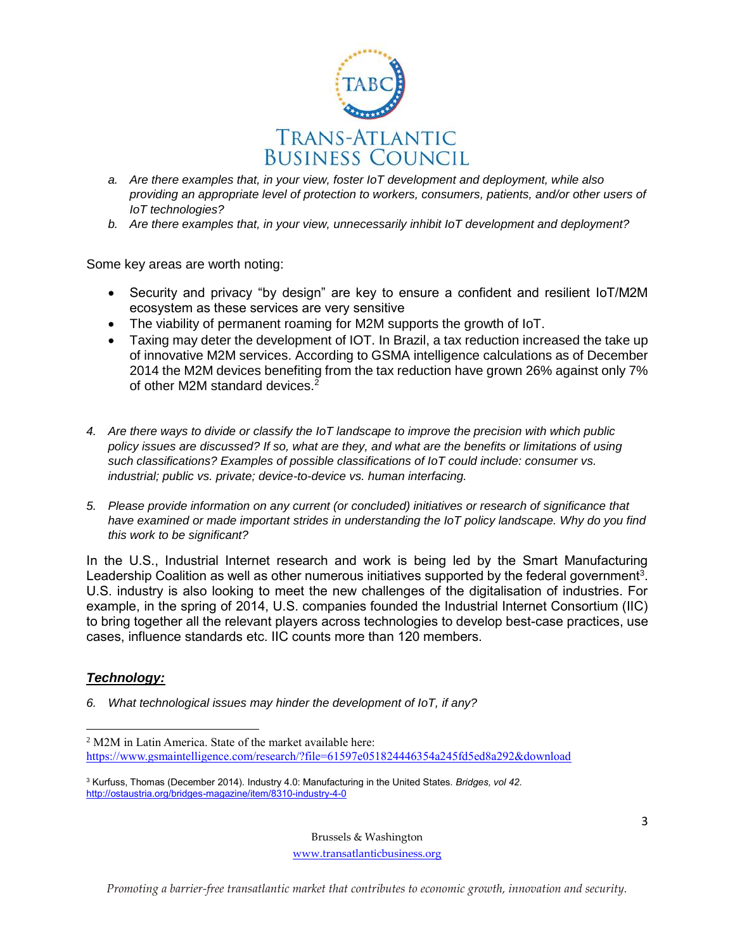

- *a. Are there examples that, in your view, foster IoT development and deployment, while also providing an appropriate level of protection to workers, consumers, patients, and/or other users of IoT technologies?*
- *b. Are there examples that, in your view, unnecessarily inhibit IoT development and deployment?*

Some key areas are worth noting:

- Security and privacy "by design" are key to ensure a confident and resilient IoT/M2M ecosystem as these services are very sensitive
- The viability of permanent roaming for M2M supports the growth of IoT.
- Taxing may deter the development of IOT. In Brazil, a tax reduction increased the take up of innovative M2M services. According to GSMA intelligence calculations as of December 2014 the M2M devices benefiting from the tax reduction have grown 26% against only 7% of other M2M standard devices.<sup>2</sup>
- *4. Are there ways to divide or classify the IoT landscape to improve the precision with which public policy issues are discussed? If so, what are they, and what are the benefits or limitations of using such classifications? Examples of possible classifications of IoT could include: consumer vs. industrial; public vs. private; device-to-device vs. human interfacing.*
- *5. Please provide information on any current (or concluded) initiatives or research of significance that*  have examined or made important strides in understanding the IoT policy landscape. Why do you find *this work to be significant?*

In the U.S., Industrial Internet research and work is being led by the Smart Manufacturing Leadership Coalition as well as other numerous initiatives supported by the federal government<sup>3</sup>. U.S. industry is also looking to meet the new challenges of the digitalisation of industries. For example, in the spring of 2014, U.S. companies founded the Industrial Internet Consortium (IIC) to bring together all the relevant players across technologies to develop best-case practices, use cases, influence standards etc. IIC counts more than 120 members.

### *Technology:*

 $\overline{\phantom{a}}$ 

*6. What technological issues may hinder the development of IoT, if any?*

Brussels & Washington

[www.transatlanticbusiness.org](http://www.transatlanticbusiness.org/)

<sup>2</sup> M2M in Latin America. State of the market available here: <https://www.gsmaintelligence.com/research/?file=61597e051824446354a245fd5ed8a292&download>

<sup>3</sup> Kurfuss, Thomas (December 2014). Industry 4.0: Manufacturing in the United States. *Bridges, vol 42*. <http://ostaustria.org/bridges-magazine/item/8310-industry-4-0>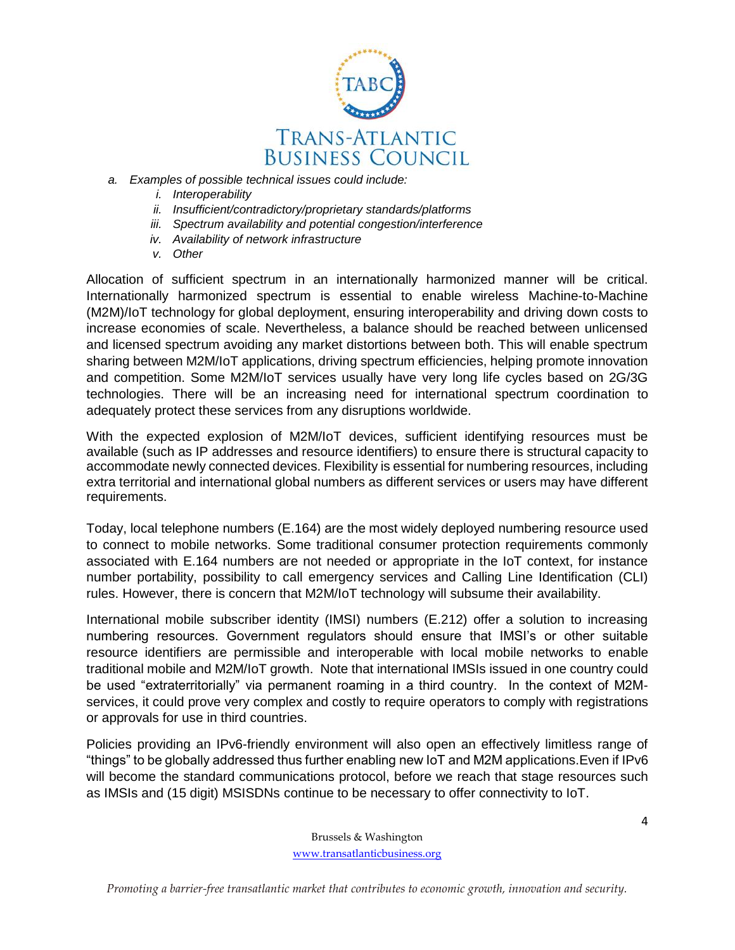

- *a. Examples of possible technical issues could include:*
	- *i. Interoperability*
	- *ii. Insufficient/contradictory/proprietary standards/platforms*
	- *iii. Spectrum availability and potential congestion/interference*
	- *iv. Availability of network infrastructure*
	- *v. Other*

Allocation of sufficient spectrum in an internationally harmonized manner will be critical. Internationally harmonized spectrum is essential to enable wireless Machine-to-Machine (M2M)/IoT technology for global deployment, ensuring interoperability and driving down costs to increase economies of scale. Nevertheless, a balance should be reached between unlicensed and licensed spectrum avoiding any market distortions between both. This will enable spectrum sharing between M2M/IoT applications, driving spectrum efficiencies, helping promote innovation and competition. Some M2M/IoT services usually have very long life cycles based on 2G/3G technologies. There will be an increasing need for international spectrum coordination to adequately protect these services from any disruptions worldwide.

With the expected explosion of M2M/IoT devices, sufficient identifying resources must be available (such as IP addresses and resource identifiers) to ensure there is structural capacity to accommodate newly connected devices. Flexibility is essential for numbering resources, including extra territorial and international global numbers as different services or users may have different requirements.

Today, local telephone numbers (E.164) are the most widely deployed numbering resource used to connect to mobile networks. Some traditional consumer protection requirements commonly associated with E.164 numbers are not needed or appropriate in the IoT context, for instance number portability, possibility to call emergency services and Calling Line Identification (CLI) rules. However, there is concern that M2M/IoT technology will subsume their availability.

International mobile subscriber identity (IMSI) numbers (E.212) offer a solution to increasing numbering resources. Government regulators should ensure that IMSI's or other suitable resource identifiers are permissible and interoperable with local mobile networks to enable traditional mobile and M2M/IoT growth. Note that international IMSIs issued in one country could be used "extraterritorially" via permanent roaming in a third country. In the context of M2Mservices, it could prove very complex and costly to require operators to comply with registrations or approvals for use in third countries.

Policies providing an IPv6-friendly environment will also open an effectively limitless range of "things" to be globally addressed thus further enabling new IoT and M2M applications.Even if IPv6 will become the standard communications protocol, before we reach that stage resources such as IMSIs and (15 digit) MSISDNs continue to be necessary to offer connectivity to IoT.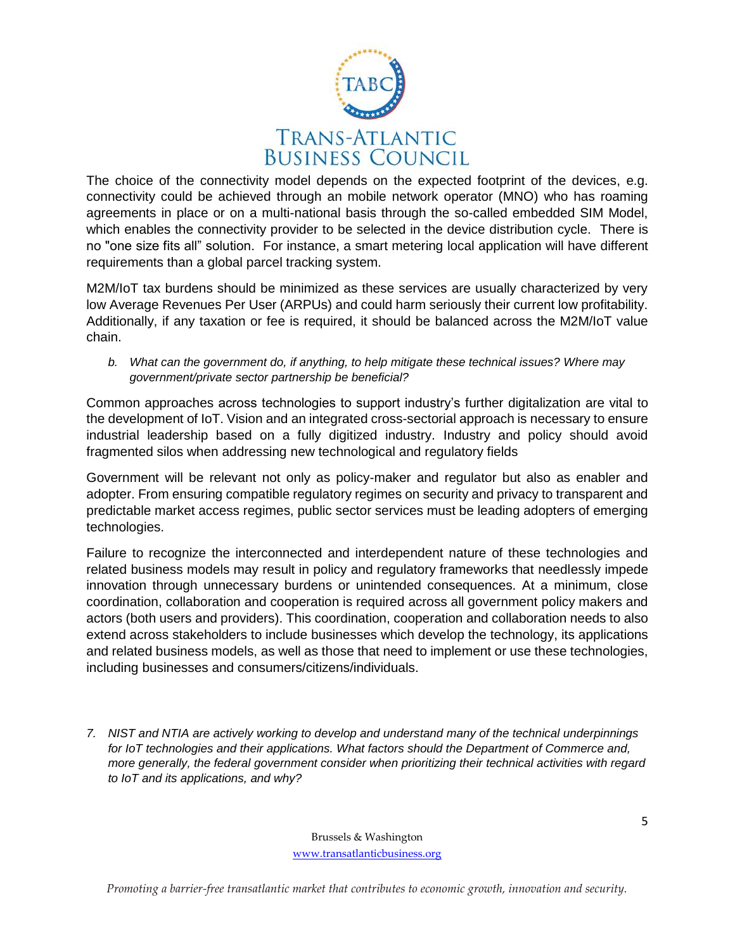

The choice of the connectivity model depends on the expected footprint of the devices, e.g. connectivity could be achieved through an mobile network operator (MNO) who has roaming agreements in place or on a multi-national basis through the so-called embedded SIM Model, which enables the connectivity provider to be selected in the device distribution cycle. There is no "one size fits all" solution. For instance, a smart metering local application will have different requirements than a global parcel tracking system.

M2M/IoT tax burdens should be minimized as these services are usually characterized by very low Average Revenues Per User (ARPUs) and could harm seriously their current low profitability. Additionally, if any taxation or fee is required, it should be balanced across the M2M/IoT value chain.

*b. What can the government do, if anything, to help mitigate these technical issues? Where may government/private sector partnership be beneficial?*

Common approaches across technologies to support industry's further digitalization are vital to the development of IoT. Vision and an integrated cross-sectorial approach is necessary to ensure industrial leadership based on a fully digitized industry. Industry and policy should avoid fragmented silos when addressing new technological and regulatory fields

Government will be relevant not only as policy-maker and regulator but also as enabler and adopter. From ensuring compatible regulatory regimes on security and privacy to transparent and predictable market access regimes, public sector services must be leading adopters of emerging technologies.

Failure to recognize the interconnected and interdependent nature of these technologies and related business models may result in policy and regulatory frameworks that needlessly impede innovation through unnecessary burdens or unintended consequences. At a minimum, close coordination, collaboration and cooperation is required across all government policy makers and actors (both users and providers). This coordination, cooperation and collaboration needs to also extend across stakeholders to include businesses which develop the technology, its applications and related business models, as well as those that need to implement or use these technologies, including businesses and consumers/citizens/individuals.

*7. NIST and NTIA are actively working to develop and understand many of the technical underpinnings*  for IoT technologies and their applications. What factors should the Department of Commerce and, *more generally, the federal government consider when prioritizing their technical activities with regard to IoT and its applications, and why?*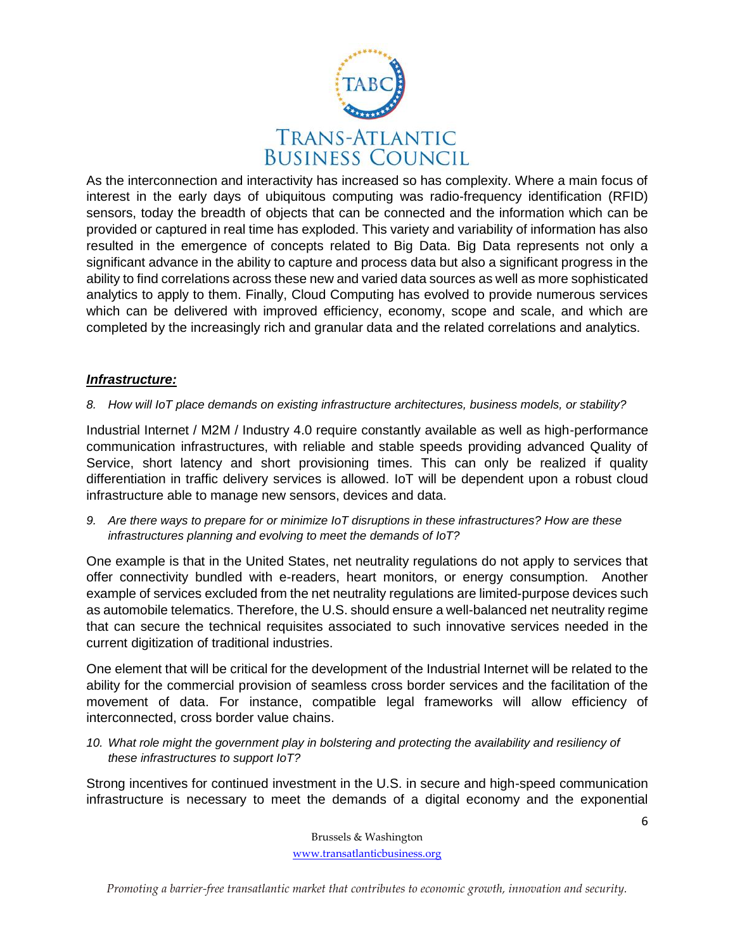

As the interconnection and interactivity has increased so has complexity. Where a main focus of interest in the early days of ubiquitous computing was radio-frequency identification (RFID) sensors, today the breadth of objects that can be connected and the information which can be provided or captured in real time has exploded. This variety and variability of information has also resulted in the emergence of concepts related to Big Data. Big Data represents not only a significant advance in the ability to capture and process data but also a significant progress in the ability to find correlations across these new and varied data sources as well as more sophisticated analytics to apply to them. Finally, Cloud Computing has evolved to provide numerous services which can be delivered with improved efficiency, economy, scope and scale, and which are completed by the increasingly rich and granular data and the related correlations and analytics.

## *Infrastructure:*

#### *8. How will IoT place demands on existing infrastructure architectures, business models, or stability?*

Industrial Internet / M2M / Industry 4.0 require constantly available as well as high-performance communication infrastructures, with reliable and stable speeds providing advanced Quality of Service, short latency and short provisioning times. This can only be realized if quality differentiation in traffic delivery services is allowed. IoT will be dependent upon a robust cloud infrastructure able to manage new sensors, devices and data.

*9. Are there ways to prepare for or minimize IoT disruptions in these infrastructures? How are these infrastructures planning and evolving to meet the demands of IoT?*

One example is that in the United States, net neutrality regulations do not apply to services that offer connectivity bundled with e-readers, heart monitors, or energy consumption. Another example of services excluded from the net neutrality regulations are limited-purpose devices such as automobile telematics. Therefore, the U.S. should ensure a well-balanced net neutrality regime that can secure the technical requisites associated to such innovative services needed in the current digitization of traditional industries.

One element that will be critical for the development of the Industrial Internet will be related to the ability for the commercial provision of seamless cross border services and the facilitation of the movement of data. For instance, compatible legal frameworks will allow efficiency of interconnected, cross border value chains.

*10. What role might the government play in bolstering and protecting the availability and resiliency of these infrastructures to support IoT?*

Strong incentives for continued investment in the U.S. in secure and high-speed communication infrastructure is necessary to meet the demands of a digital economy and the exponential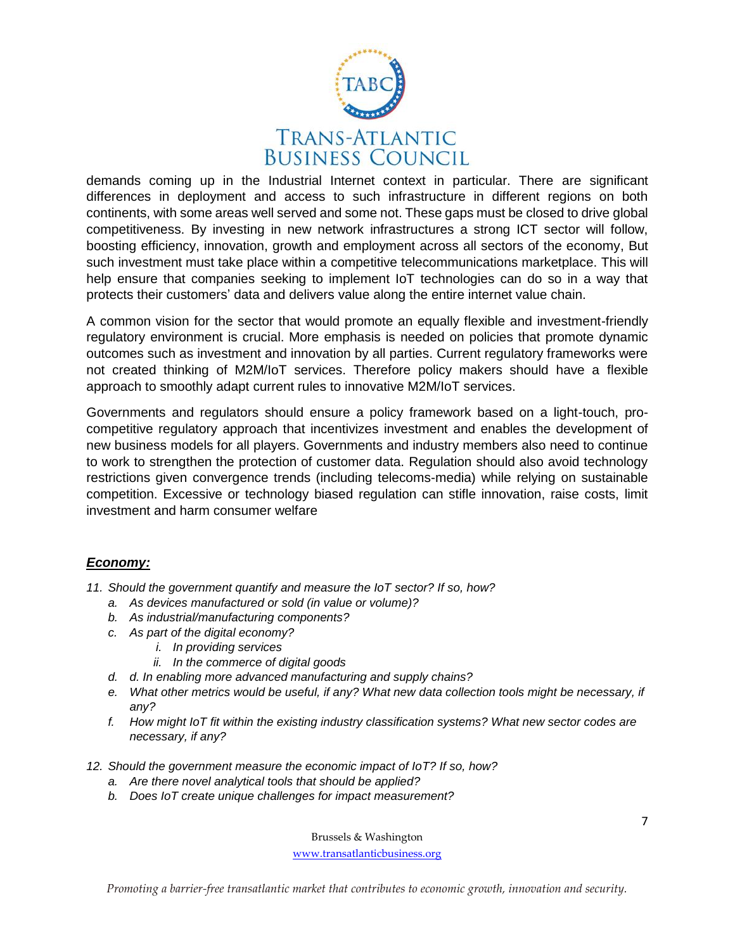

demands coming up in the Industrial Internet context in particular. There are significant differences in deployment and access to such infrastructure in different regions on both continents, with some areas well served and some not. These gaps must be closed to drive global competitiveness. By investing in new network infrastructures a strong ICT sector will follow, boosting efficiency, innovation, growth and employment across all sectors of the economy, But such investment must take place within a competitive telecommunications marketplace. This will help ensure that companies seeking to implement IoT technologies can do so in a way that protects their customers' data and delivers value along the entire internet value chain.

A common vision for the sector that would promote an equally flexible and investment-friendly regulatory environment is crucial. More emphasis is needed on policies that promote dynamic outcomes such as investment and innovation by all parties. Current regulatory frameworks were not created thinking of M2M/IoT services. Therefore policy makers should have a flexible approach to smoothly adapt current rules to innovative M2M/IoT services.

Governments and regulators should ensure a policy framework based on a light-touch, procompetitive regulatory approach that incentivizes investment and enables the development of new business models for all players. Governments and industry members also need to continue to work to strengthen the protection of customer data. Regulation should also avoid technology restrictions given convergence trends (including telecoms-media) while relying on sustainable competition. Excessive or technology biased regulation can stifle innovation, raise costs, limit investment and harm consumer welfare

# *Economy:*

- *11. Should the government quantify and measure the IoT sector? If so, how?*
	- *a. As devices manufactured or sold (in value or volume)?*
	- *b. As industrial/manufacturing components?*
	- *c. As part of the digital economy?*
		- *i. In providing services*
		- *ii. In the commerce of digital goods*
	- *d. d. In enabling more advanced manufacturing and supply chains?*
	- *e. What other metrics would be useful, if any? What new data collection tools might be necessary, if any?*
	- *f. How might IoT fit within the existing industry classification systems? What new sector codes are necessary, if any?*
- *12. Should the government measure the economic impact of IoT? If so, how?*
	- *a. Are there novel analytical tools that should be applied?*
	- *b. Does IoT create unique challenges for impact measurement?*

Brussels & Washington

[www.transatlanticbusiness.org](http://www.transatlanticbusiness.org/)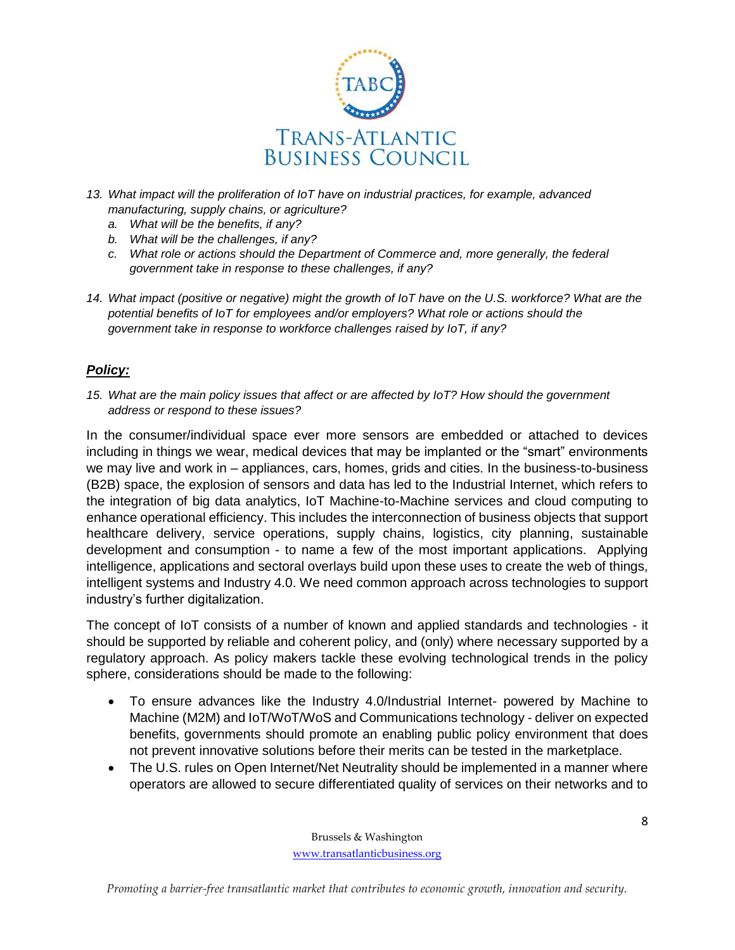

- *13. What impact will the proliferation of IoT have on industrial practices, for example, advanced manufacturing, supply chains, or agriculture?*
	- *a. What will be the benefits, if any?*
	- *b. What will be the challenges, if any?*
	- *c. What role or actions should the Department of Commerce and, more generally, the federal government take in response to these challenges, if any?*
- *14. What impact (positive or negative) might the growth of IoT have on the U.S. workforce? What are the potential benefits of IoT for employees and/or employers? What role or actions should the government take in response to workforce challenges raised by IoT, if any?*

## *Policy:*

*15. What are the main policy issues that affect or are affected by IoT? How should the government address or respond to these issues?*

In the consumer/individual space ever more sensors are embedded or attached to devices including in things we wear, medical devices that may be implanted or the "smart" environments we may live and work in – appliances, cars, homes, grids and cities. In the business-to-business (B2B) space, the explosion of sensors and data has led to the Industrial Internet, which refers to the integration of big data analytics, IoT Machine-to-Machine services and cloud computing to enhance operational efficiency. This includes the interconnection of business objects that support healthcare delivery, service operations, supply chains, logistics, city planning, sustainable development and consumption - to name a few of the most important applications. Applying intelligence, applications and sectoral overlays build upon these uses to create the web of things, intelligent systems and Industry 4.0. We need common approach across technologies to support industry's further digitalization.

The concept of IoT consists of a number of known and applied standards and technologies - it should be supported by reliable and coherent policy, and (only) where necessary supported by a regulatory approach. As policy makers tackle these evolving technological trends in the policy sphere, considerations should be made to the following:

- To ensure advances like the Industry 4.0/Industrial Internet- powered by Machine to Machine (M2M) and IoT/WoT/WoS and Communications technology - deliver on expected benefits, governments should promote an enabling public policy environment that does not prevent innovative solutions before their merits can be tested in the marketplace.
- The U.S. rules on Open Internet/Net Neutrality should be implemented in a manner where operators are allowed to secure differentiated quality of services on their networks and to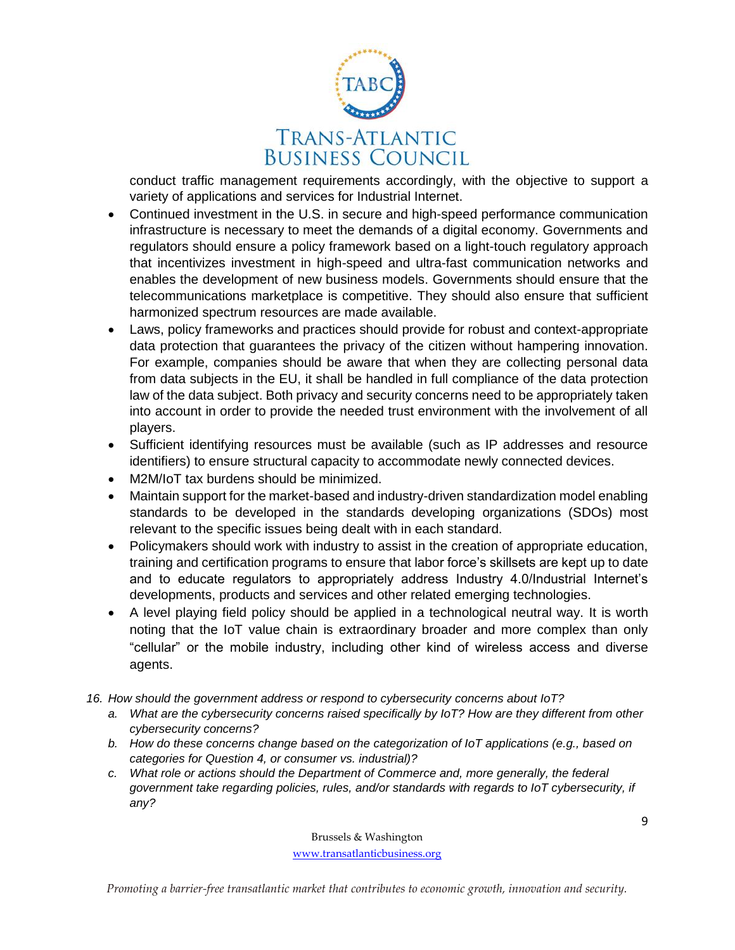

conduct traffic management requirements accordingly, with the objective to support a variety of applications and services for Industrial Internet.

- Continued investment in the U.S. in secure and high-speed performance communication infrastructure is necessary to meet the demands of a digital economy. Governments and regulators should ensure a policy framework based on a light-touch regulatory approach that incentivizes investment in high-speed and ultra-fast communication networks and enables the development of new business models. Governments should ensure that the telecommunications marketplace is competitive. They should also ensure that sufficient harmonized spectrum resources are made available.
- Laws, policy frameworks and practices should provide for robust and context-appropriate data protection that guarantees the privacy of the citizen without hampering innovation. For example, companies should be aware that when they are collecting personal data from data subjects in the EU, it shall be handled in full compliance of the data protection law of the data subject. Both privacy and security concerns need to be appropriately taken into account in order to provide the needed trust environment with the involvement of all players.
- Sufficient identifying resources must be available (such as IP addresses and resource identifiers) to ensure structural capacity to accommodate newly connected devices.
- M2M/IoT tax burdens should be minimized.
- Maintain support for the market-based and industry-driven standardization model enabling standards to be developed in the standards developing organizations (SDOs) most relevant to the specific issues being dealt with in each standard.
- Policymakers should work with industry to assist in the creation of appropriate education, training and certification programs to ensure that labor force's skillsets are kept up to date and to educate regulators to appropriately address Industry 4.0/Industrial Internet's developments, products and services and other related emerging technologies.
- A level playing field policy should be applied in a technological neutral way. It is worth noting that the IoT value chain is extraordinary broader and more complex than only "cellular" or the mobile industry, including other kind of wireless access and diverse agents.
- *16. How should the government address or respond to cybersecurity concerns about IoT?*
	- *a. What are the cybersecurity concerns raised specifically by IoT? How are they different from other cybersecurity concerns?*
	- *b. How do these concerns change based on the categorization of IoT applications (e.g., based on categories for Question 4, or consumer vs. industrial)?*
	- *c. What role or actions should the Department of Commerce and, more generally, the federal government take regarding policies, rules, and/or standards with regards to IoT cybersecurity, if any?*

Brussels & Washington

[www.transatlanticbusiness.org](http://www.transatlanticbusiness.org/)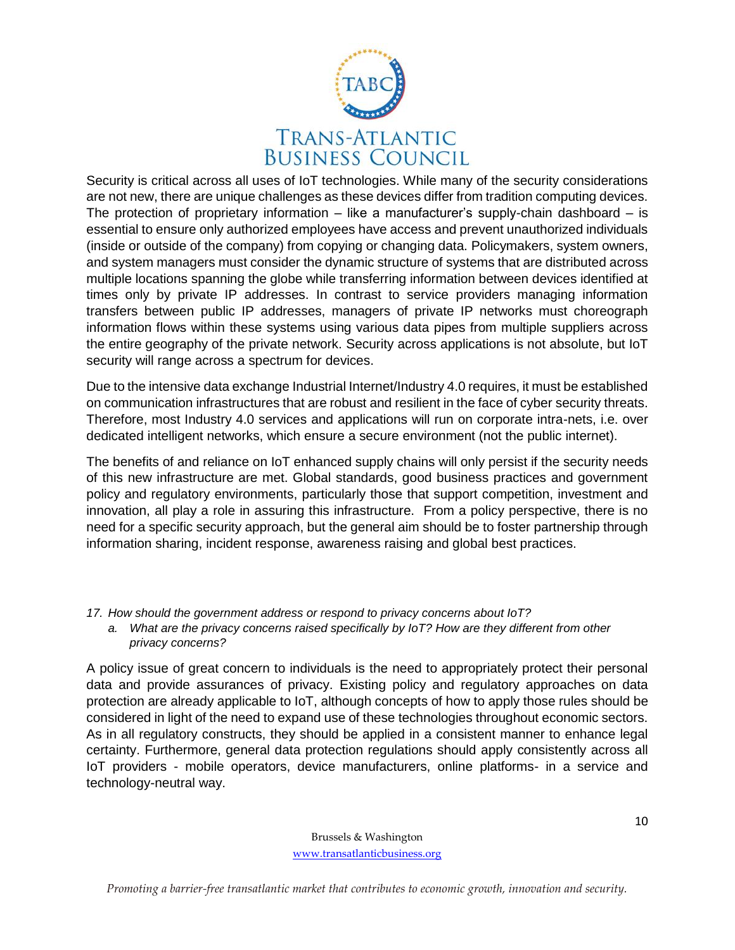

Security is critical across all uses of IoT technologies. While many of the security considerations are not new, there are unique challenges as these devices differ from tradition computing devices. The protection of proprietary information – like a manufacturer's supply-chain dashboard – is essential to ensure only authorized employees have access and prevent unauthorized individuals (inside or outside of the company) from copying or changing data. Policymakers, system owners, and system managers must consider the dynamic structure of systems that are distributed across multiple locations spanning the globe while transferring information between devices identified at times only by private IP addresses. In contrast to service providers managing information transfers between public IP addresses, managers of private IP networks must choreograph information flows within these systems using various data pipes from multiple suppliers across the entire geography of the private network. Security across applications is not absolute, but IoT security will range across a spectrum for devices.

Due to the intensive data exchange Industrial Internet/Industry 4.0 requires, it must be established on communication infrastructures that are robust and resilient in the face of cyber security threats. Therefore, most Industry 4.0 services and applications will run on corporate intra-nets, i.e. over dedicated intelligent networks, which ensure a secure environment (not the public internet).

The benefits of and reliance on IoT enhanced supply chains will only persist if the security needs of this new infrastructure are met. Global standards, good business practices and government policy and regulatory environments, particularly those that support competition, investment and innovation, all play a role in assuring this infrastructure. From a policy perspective, there is no need for a specific security approach, but the general aim should be to foster partnership through information sharing, incident response, awareness raising and global best practices.

*17. How should the government address or respond to privacy concerns about IoT? a. What are the privacy concerns raised specifically by IoT? How are they different from other privacy concerns?*

A policy issue of great concern to individuals is the need to appropriately protect their personal data and provide assurances of privacy. Existing policy and regulatory approaches on data protection are already applicable to IoT, although concepts of how to apply those rules should be considered in light of the need to expand use of these technologies throughout economic sectors. As in all regulatory constructs, they should be applied in a consistent manner to enhance legal certainty. Furthermore, general data protection regulations should apply consistently across all IoT providers - mobile operators, device manufacturers, online platforms- in a service and technology-neutral way.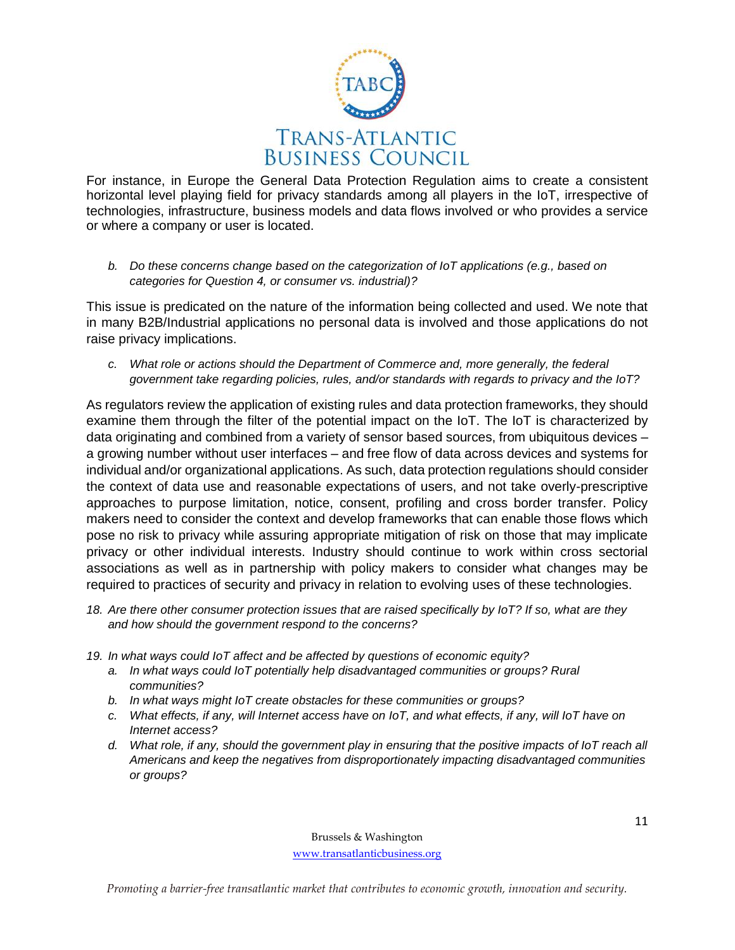

For instance, in Europe the General Data Protection Regulation aims to create a consistent horizontal level playing field for privacy standards among all players in the IoT, irrespective of technologies, infrastructure, business models and data flows involved or who provides a service or where a company or user is located.

*b. Do these concerns change based on the categorization of IoT applications (e.g., based on categories for Question 4, or consumer vs. industrial)?*

This issue is predicated on the nature of the information being collected and used. We note that in many B2B/Industrial applications no personal data is involved and those applications do not raise privacy implications.

*c. What role or actions should the Department of Commerce and, more generally, the federal government take regarding policies, rules, and/or standards with regards to privacy and the IoT?*

As regulators review the application of existing rules and data protection frameworks, they should examine them through the filter of the potential impact on the IoT. The IoT is characterized by data originating and combined from a variety of sensor based sources, from ubiquitous devices – a growing number without user interfaces – and free flow of data across devices and systems for individual and/or organizational applications. As such, data protection regulations should consider the context of data use and reasonable expectations of users, and not take overly-prescriptive approaches to purpose limitation, notice, consent, profiling and cross border transfer. Policy makers need to consider the context and develop frameworks that can enable those flows which pose no risk to privacy while assuring appropriate mitigation of risk on those that may implicate privacy or other individual interests. Industry should continue to work within cross sectorial associations as well as in partnership with policy makers to consider what changes may be required to practices of security and privacy in relation to evolving uses of these technologies.

- *18. Are there other consumer protection issues that are raised specifically by IoT? If so, what are they and how should the government respond to the concerns?*
- *19. In what ways could IoT affect and be affected by questions of economic equity?*
	- *a. In what ways could IoT potentially help disadvantaged communities or groups? Rural communities?*
	- *b. In what ways might IoT create obstacles for these communities or groups?*
	- *c. What effects, if any, will Internet access have on IoT, and what effects, if any, will IoT have on Internet access?*
	- *d. What role, if any, should the government play in ensuring that the positive impacts of IoT reach all Americans and keep the negatives from disproportionately impacting disadvantaged communities or groups?*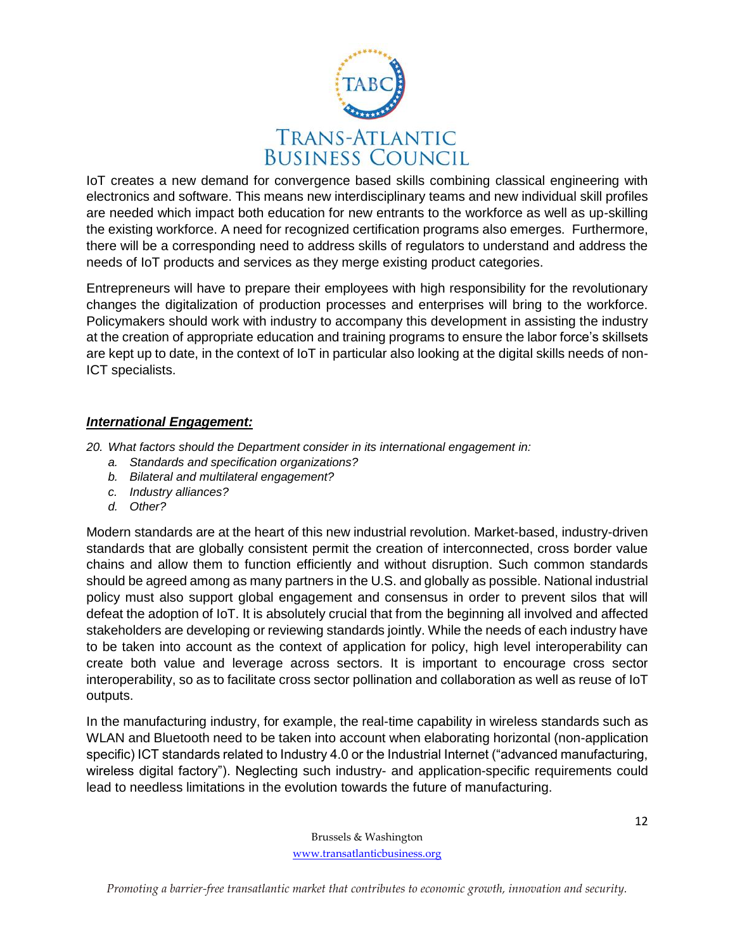

IoT creates a new demand for convergence based skills combining classical engineering with electronics and software. This means new interdisciplinary teams and new individual skill profiles are needed which impact both education for new entrants to the workforce as well as up-skilling the existing workforce. A need for recognized certification programs also emerges. Furthermore, there will be a corresponding need to address skills of regulators to understand and address the needs of IoT products and services as they merge existing product categories.

Entrepreneurs will have to prepare their employees with high responsibility for the revolutionary changes the digitalization of production processes and enterprises will bring to the workforce. Policymakers should work with industry to accompany this development in assisting the industry at the creation of appropriate education and training programs to ensure the labor force's skillsets are kept up to date, in the context of IoT in particular also looking at the digital skills needs of non-ICT specialists.

### *International Engagement:*

- *20. What factors should the Department consider in its international engagement in:*
	- *a. Standards and specification organizations?*
	- *b. Bilateral and multilateral engagement?*
	- *c. Industry alliances?*
	- *d. Other?*

Modern standards are at the heart of this new industrial revolution. Market-based, industry-driven standards that are globally consistent permit the creation of interconnected, cross border value chains and allow them to function efficiently and without disruption. Such common standards should be agreed among as many partners in the U.S. and globally as possible. National industrial policy must also support global engagement and consensus in order to prevent silos that will defeat the adoption of IoT. It is absolutely crucial that from the beginning all involved and affected stakeholders are developing or reviewing standards jointly. While the needs of each industry have to be taken into account as the context of application for policy, high level interoperability can create both value and leverage across sectors. It is important to encourage cross sector interoperability, so as to facilitate cross sector pollination and collaboration as well as reuse of IoT outputs.

In the manufacturing industry, for example, the real-time capability in wireless standards such as WLAN and Bluetooth need to be taken into account when elaborating horizontal (non-application specific) ICT standards related to Industry 4.0 or the Industrial Internet ("advanced manufacturing, wireless digital factory"). Neglecting such industry- and application-specific requirements could lead to needless limitations in the evolution towards the future of manufacturing.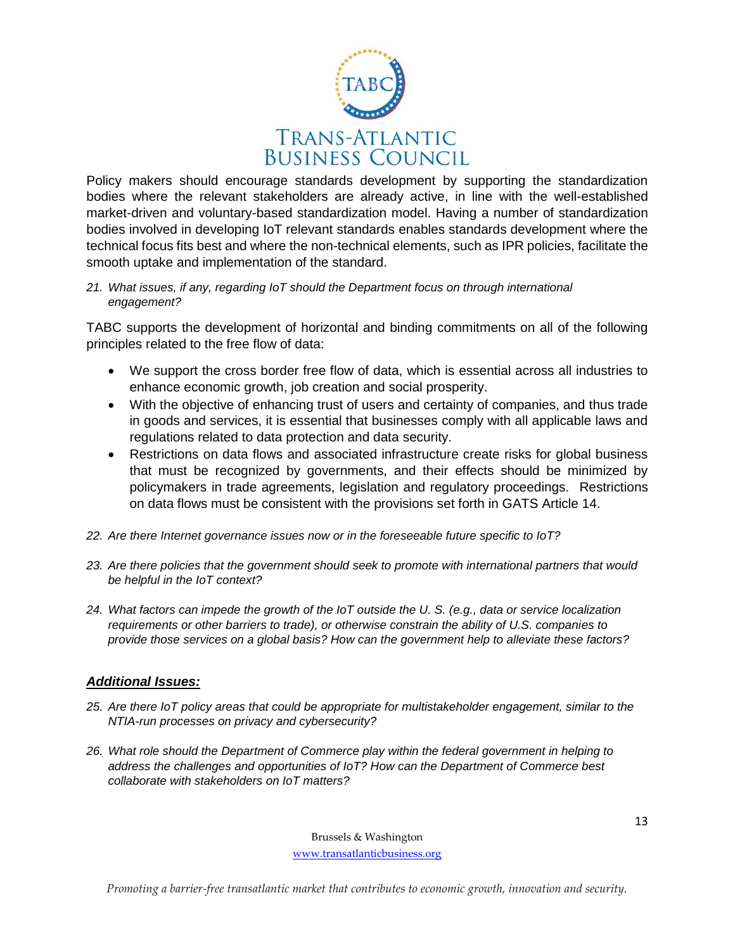

Policy makers should encourage standards development by supporting the standardization bodies where the relevant stakeholders are already active, in line with the well-established market-driven and voluntary-based standardization model. Having a number of standardization bodies involved in developing IoT relevant standards enables standards development where the technical focus fits best and where the non-technical elements, such as IPR policies, facilitate the smooth uptake and implementation of the standard.

#### *21. What issues, if any, regarding IoT should the Department focus on through international engagement?*

TABC supports the development of horizontal and binding commitments on all of the following principles related to the free flow of data:

- We support the cross border free flow of data, which is essential across all industries to enhance economic growth, job creation and social prosperity.
- With the objective of enhancing trust of users and certainty of companies, and thus trade in goods and services, it is essential that businesses comply with all applicable laws and regulations related to data protection and data security.
- Restrictions on data flows and associated infrastructure create risks for global business that must be recognized by governments, and their effects should be minimized by policymakers in trade agreements, legislation and regulatory proceedings. Restrictions on data flows must be consistent with the provisions set forth in GATS Article 14.
- *22. Are there Internet governance issues now or in the foreseeable future specific to IoT?*
- *23. Are there policies that the government should seek to promote with international partners that would be helpful in the IoT context?*
- *24. What factors can impede the growth of the IoT outside the U. S. (e.g., data or service localization requirements or other barriers to trade), or otherwise constrain the ability of U.S. companies to provide those services on a global basis? How can the government help to alleviate these factors?*

# *Additional Issues:*

- *25. Are there IoT policy areas that could be appropriate for multistakeholder engagement, similar to the NTIA-run processes on privacy and cybersecurity?*
- *26. What role should the Department of Commerce play within the federal government in helping to address the challenges and opportunities of IoT? How can the Department of Commerce best collaborate with stakeholders on IoT matters?*